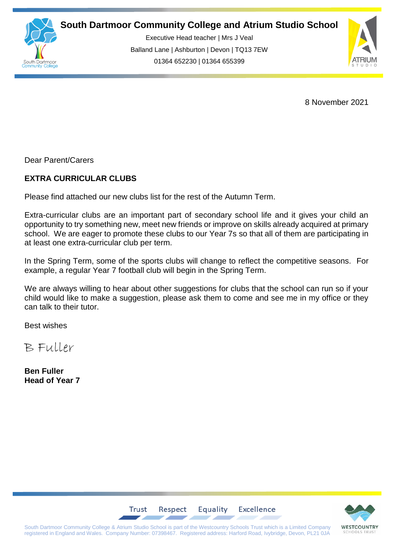

**South Dartmoor Community College and Atrium Studio School** 

Executive Head teacher | Mrs J Veal Balland Lane | Ashburton | Devon | TQ13 7EW 01364 652230 | 01364 655399



8 November 2021

Dear Parent/Carers

## **EXTRA CURRICULAR CLUBS**

Please find attached our new clubs list for the rest of the Autumn Term.

Extra-curricular clubs are an important part of secondary school life and it gives your child an opportunity to try something new, meet new friends or improve on skills already acquired at primary school. We are eager to promote these clubs to our Year 7s so that all of them are participating in at least one extra-curricular club per term.

In the Spring Term, some of the sports clubs will change to reflect the competitive seasons. For example, a regular Year 7 football club will begin in the Spring Term.

We are always willing to hear about other suggestions for clubs that the school can run so if your child would like to make a suggestion, please ask them to come and see me in my office or they can talk to their tutor.

Best wishes

B Fuller

**Ben Fuller Head of Year 7**



South Dartmoor Community College & Atrium Studio School is part of the Westcountry Schools Trust which is a Limited Company registered in England and Wales. Company Number: 07398467. Registered address: Harford Road, Ivybridge, Devon, PL21 0JA

Respect

Trust

Equality

Excellence